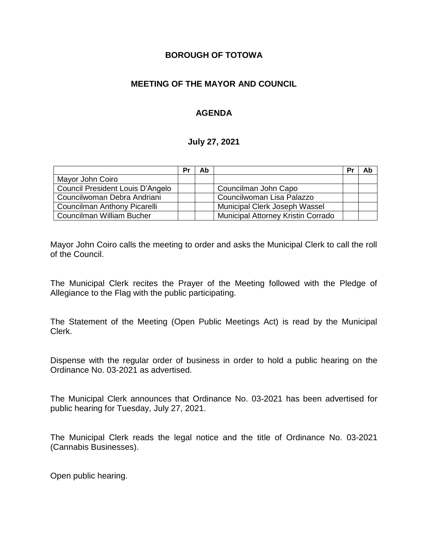## **BOROUGH OF TOTOWA**

# **MEETING OF THE MAYOR AND COUNCIL**

# **AGENDA**

#### **July 27, 2021**

|                                  | Pr | Ab |                                    | Pr | Ab |
|----------------------------------|----|----|------------------------------------|----|----|
| Mayor John Coiro                 |    |    |                                    |    |    |
| Council President Louis D'Angelo |    |    | Councilman John Capo               |    |    |
| Councilwoman Debra Andriani      |    |    | Councilwoman Lisa Palazzo          |    |    |
| Councilman Anthony Picarelli     |    |    | Municipal Clerk Joseph Wassel      |    |    |
| Councilman William Bucher        |    |    | Municipal Attorney Kristin Corrado |    |    |

Mayor John Coiro calls the meeting to order and asks the Municipal Clerk to call the roll of the Council.

The Municipal Clerk recites the Prayer of the Meeting followed with the Pledge of Allegiance to the Flag with the public participating.

The Statement of the Meeting (Open Public Meetings Act) is read by the Municipal Clerk.

Dispense with the regular order of business in order to hold a public hearing on the Ordinance No. 03-2021 as advertised.

The Municipal Clerk announces that Ordinance No. 03-2021 has been advertised for public hearing for Tuesday, July 27, 2021.

The Municipal Clerk reads the legal notice and the title of Ordinance No. 03-2021 (Cannabis Businesses).

Open public hearing.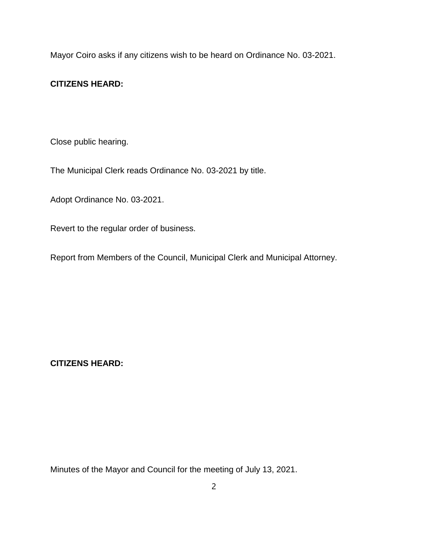Mayor Coiro asks if any citizens wish to be heard on Ordinance No. 03-2021.

#### **CITIZENS HEARD:**

Close public hearing.

The Municipal Clerk reads Ordinance No. 03-2021 by title.

Adopt Ordinance No. 03-2021.

Revert to the regular order of business.

Report from Members of the Council, Municipal Clerk and Municipal Attorney.

**CITIZENS HEARD:**

Minutes of the Mayor and Council for the meeting of July 13, 2021.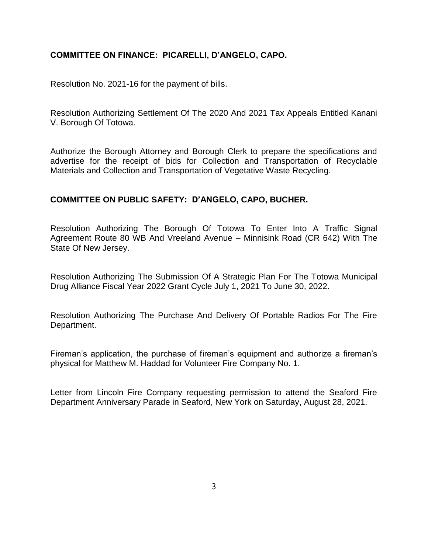### **COMMITTEE ON FINANCE: PICARELLI, D'ANGELO, CAPO.**

Resolution No. 2021-16 for the payment of bills.

Resolution Authorizing Settlement Of The 2020 And 2021 Tax Appeals Entitled Kanani V. Borough Of Totowa.

Authorize the Borough Attorney and Borough Clerk to prepare the specifications and advertise for the receipt of bids for Collection and Transportation of Recyclable Materials and Collection and Transportation of Vegetative Waste Recycling.

## **COMMITTEE ON PUBLIC SAFETY: D'ANGELO, CAPO, BUCHER.**

Resolution Authorizing The Borough Of Totowa To Enter Into A Traffic Signal Agreement Route 80 WB And Vreeland Avenue – Minnisink Road (CR 642) With The State Of New Jersey.

Resolution Authorizing The Submission Of A Strategic Plan For The Totowa Municipal Drug Alliance Fiscal Year 2022 Grant Cycle July 1, 2021 To June 30, 2022.

Resolution Authorizing The Purchase And Delivery Of Portable Radios For The Fire Department.

Fireman's application, the purchase of fireman's equipment and authorize a fireman's physical for Matthew M. Haddad for Volunteer Fire Company No. 1.

Letter from Lincoln Fire Company requesting permission to attend the Seaford Fire Department Anniversary Parade in Seaford, New York on Saturday, August 28, 2021.